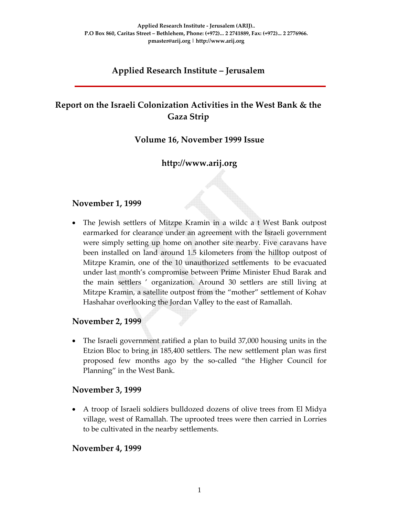# **Applied Research Institute – Jerusalem**

# **Report on the Israeli Colonization Activities in the West Bank & the Gaza Strip**

### **Volume 16, November 1999 Issue**

# **http://www.arij.org**

### **November 1, 1999**

• The Jewish settlers of Mitzpe Kramin in a wildc a t West Bank outpost earmarked for clearance under an agreement with the Israeli government were simply setting up home on another site nearby. Five caravans have been installed on land around 1.5 kilometers from the hilltop outpost of Mitzpe Kramin, one of the 10 unauthorized settlements to be evacuated under last month's compromise between Prime Minister Ehud Barak and the main settlers ' organization. Around 30 settlers are still living at Mitzpe Kramin, a satellite outpost from the "mother" settlement of Kohav Hashahar overlooking the Jordan Valley to the east of Ramallah.

#### **November 2, 1999**

• The Israeli government ratified a plan to build 37,000 housing units in the Etzion Bloc to bring in 185,400 settlers. The new settlement plan was first proposed few months ago by the so‐called "the Higher Council for Planning" in the West Bank.

#### **November 3, 1999**

• A troop of Israeli soldiers bulldozed dozens of olive trees from El Midya village, west of Ramallah. The uprooted trees were then carried in Lorries to be cultivated in the nearby settlements.

#### **November 4, 1999**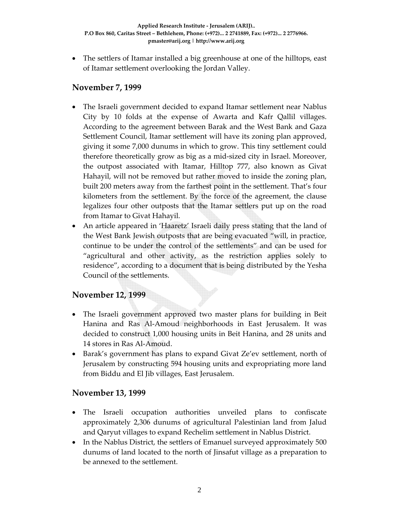• The settlers of Itamar installed a big greenhouse at one of the hilltops, east of Itamar settlement overlooking the Jordan Valley.

#### **November 7, 1999**

- The Israeli government decided to expand Itamar settlement near Nablus City by 10 folds at the expense of Awarta and Kafr Qallil villages. According to the agreement between Barak and the West Bank and Gaza Settlement Council, Itamar settlement will have its zoning plan approved, giving it some 7,000 dunums in which to grow. This tiny settlement could therefore theoretically grow as big as a mid‐sized city in Israel. Moreover, the outpost associated with Itamar, Hilltop 777, also known as Givat Hahayil, will not be removed but rather moved to inside the zoning plan, built 200 meters away from the farthest point in the settlement. That's four kilometers from the settlement. By the force of the agreement, the clause legalizes four other outposts that the Itamar settlers put up on the road from Itamar to Givat Hahayil.
- An article appeared in 'Haaretz' Israeli daily press stating that the land of the West Bank Jewish outposts that are being evacuated "will, in practice, continue to be under the control of the settlements" and can be used for "agricultural and other activity, as the restriction applies solely to residence", according to a document that is being distributed by the Yesha Council of the settlements.

# **November 12, 1999**

- The Israeli government approved two master plans for building in Beit Hanina and Ras Al‐Amoud neighborhoods in East Jerusalem. It was decided to construct 1,000 housing units in Beit Hanina, and 28 units and 14 stores in Ras Al‐Amoud.
- Barak's government has plans to expand Givat Ze'ev settlement, north of Jerusalem by constructing 594 housing units and expropriating more land from Biddu and El Jib villages, East Jerusalem.

# **November 13, 1999**

- The Israeli occupation authorities unveiled plans to confiscate approximately 2,306 dunums of agricultural Palestinian land from Jalud and Qaryut villages to expand Rechelim settlement in Nablus District.
- In the Nablus District, the settlers of Emanuel surveyed approximately 500 dunums of land located to the north of Jinsafut village as a preparation to be annexed to the settlement.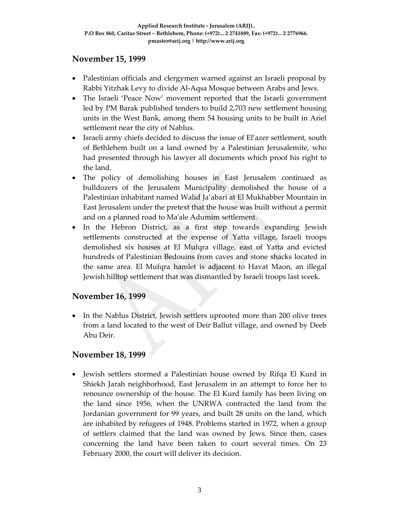### **November 15, 1999**

- Palestinian officials and clergymen warned against an Israeli proposal by Rabbi Yitzhak Levy to divide Al‐Aqsa Mosque between Arabs and Jews.
- The Israeli 'Peace Now' movement reported that the Israeli government led by PM Barak published tenders to build 2,703 new settlement housing units in the West Bank, among them 54 housing units to be built in Ariel settlement near the city of Nablus.
- Israeli army chiefs decided to discuss the issue of El'azer settlement, south of Bethlehem built on a land owned by a Palestinian Jerusalemite, who had presented through his lawyer all documents which proof his right to the land.
- The policy of demolishing houses in East Jerusalem continued as bulldozers of the Jerusalem Municipality demolished the house of a Palestinian inhabitant named Walid Ja'abari at El Mukhabber Mountain in East Jerusalem under the pretext that the house was built without a permit and on a planned road to Maʹale Adumim settlement.
- In the Hebron District, as a first step towards expanding Jewish settlements constructed at the expense of Yatta village, Israeli troops demolished six houses at El Mufqra village, east of Yatta and evicted hundreds of Palestinian Bedouins from caves and stone shacks located in the same area. El Mufqra hamlet is adjacent to Havat Maon, an illegal Jewish hilltop settlement that was dismantled by Israeli troops last week.

# **November 16, 1999**

• In the Nablus District, Jewish settlers uprooted more than 200 olive trees from a land located to the west of Deir Ballut village, and owned by Deeb Abu Deir.

# **November 18, 1999**

• Jewish settlers stormed a Palestinian house owned by Rifqa El Kurd in Shiekh Jarah neighborhood, East Jerusalem in an attempt to force her to renounce ownership of the house. The El Kurd family has been living on the land since 1956, when the UNRWA contracted the land from the Jordanian government for 99 years, and built 28 units on the land, which are inhabited by refugees of 1948. Problems started in 1972, when a group of settlers claimed that the land was owned by Jews. Since then, cases concerning the land have been taken to court several times. On 23 February 2000, the court will deliver its decision.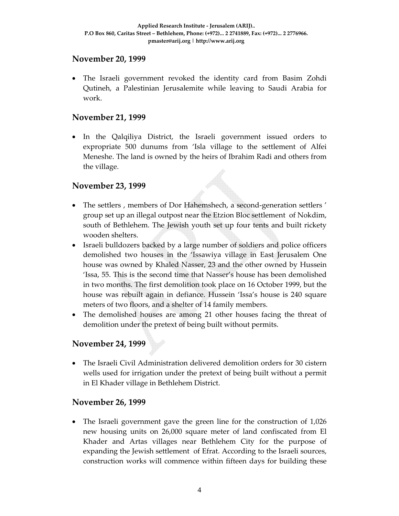#### **November 20, 1999**

• The Israeli government revoked the identity card from Basim Zohdi Qutineh, a Palestinian Jerusalemite while leaving to Saudi Arabia for work.

## **November 21, 1999**

• In the Qalqiliya District, the Israeli government issued orders to expropriate 500 dunums from 'Isla village to the settlement of Alfei Meneshe. The land is owned by the heirs of Ibrahim Radi and others from the village.

### **November 23, 1999**

- The settlers, members of Dor Hahemshech, a second-generation settlers' group set up an illegal outpost near the Etzion Bloc settlement of Nokdim, south of Bethlehem. The Jewish youth set up four tents and built rickety wooden shelters.
- Israeli bulldozers backed by a large number of soldiers and police officers demolished two houses in the 'Issawiya village in East Jerusalem One house was owned by Khaled Nasser, 23 and the other owned by Hussein 'Issa, 55. This is the second time that Nasser's house has been demolished in two months. The first demolition took place on 16 October 1999, but the house was rebuilt again in defiance. Hussein 'Issa's house is 240 square meters of two floors, and a shelter of 14 family members.
- The demolished houses are among 21 other houses facing the threat of demolition under the pretext of being built without permits.

# **November 24, 1999**

• The Israeli Civil Administration delivered demolition orders for 30 cistern wells used for irrigation under the pretext of being built without a permit in El Khader village in Bethlehem District.

#### **November 26, 1999**

• The Israeli government gave the green line for the construction of 1,026 new housing units on 26,000 square meter of land confiscated from El Khader and Artas villages near Bethlehem City for the purpose of expanding the Jewish settlement of Efrat. According to the Israeli sources, construction works will commence within fifteen days for building these